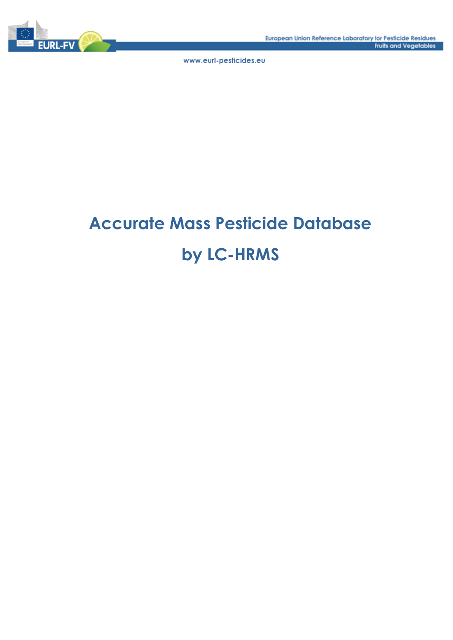

# **Accurate Mass Pesticide Database by LC-HRMS**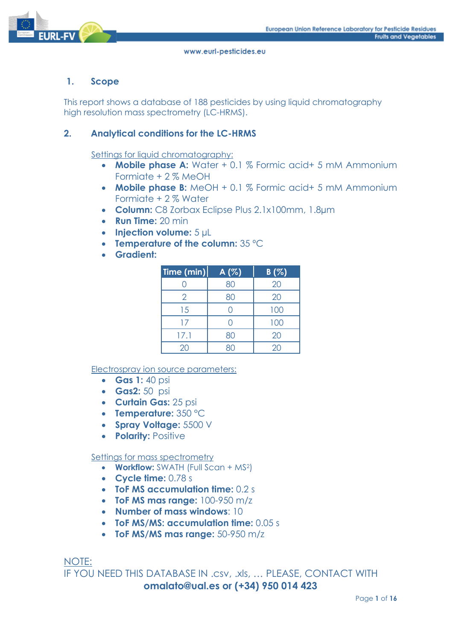

## **1. Scope**

This report shows a database of 188 pesticides by using liquid chromatography high resolution mass spectrometry (LC-HRMS).

## **2. Analytical conditions for the LC-HRMS**

Settings for liquid chromatography:

- **Mobile phase A:** Water + 0.1 % Formic acid+ 5 mM Ammonium Formiate + 2 % MeOH
- **Mobile phase B:** MeOH + 0.1 % Formic acid+ 5 mM Ammonium Formiate + 2 % Water
- **Column:** C8 Zorbax Eclipse Plus 2.1x100mm, 1.8µm
- **Run Time:** 20 min
- **Injection volume:** 5 µL
- **Temperature of the column:** 35 ºC
- **Gradient:**

| Time (min)     | $A(\%)$ | B(%) |
|----------------|---------|------|
|                | 80      | 20   |
| $\overline{2}$ | 80      | 20   |
| 15             |         | 100  |
| 17             |         | 100  |
| 17.1           | 80      | 20   |
| 20             |         | 20   |

Electrospray ion source parameters:

- **Gas 1:** 40 psi
- **Gas2:** 50 psi
- **Curtain Gas:** 25 psi
- **Temperature:** 350 °C
- **Spray Voltage:** 5500 V
- **Polarity:** Positive

#### Settings for mass spectrometry

- **Workflow:** SWATH (Full Scan + MS<sup>2</sup>)
- **Cycle time:** 0.78 s
- **ToF MS accumulation time:** 0.2 s
- **ToF MS mas range:** 100-950 m/z
- **Number of mass windows**: 10
- **ToF MS/MS: accumulation time:** 0.05 s
- **ToF MS/MS mas range:** 50-950 m/z

NOTE: IF YOU NEED THIS DATABASE IN .csv, .xls, … PLEASE, CONTACT WITH **omalato@ual.es or (+34) 950 014 423**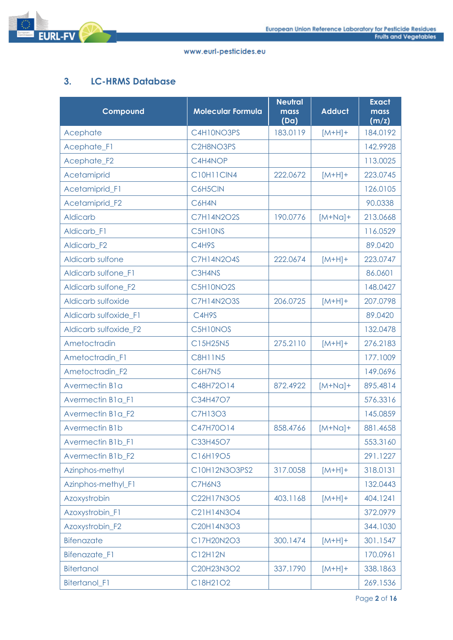

## **3. LC-HRMS Database**

| Compound              | <b>Molecular Formula</b> | <b>Neutral</b><br>mass<br>(Da) | <b>Adduct</b> | <b>Exact</b><br>mass<br>(m/z) |
|-----------------------|--------------------------|--------------------------------|---------------|-------------------------------|
| Acephate              | C4H10NO3PS               | 183.0119                       | $[M+H]+$      | 184.0192                      |
| Acephate_F1           | C2H8NO3PS                |                                |               | 142.9928                      |
| Acephate_F2           | C4H4NOP                  |                                |               | 113.0025                      |
| Acetamiprid           | <b>C10H11CIN4</b>        | 222.0672                       | $[M+H]+$      | 223.0745                      |
| Acetamiprid_F1        | C6H5CIN                  |                                |               | 126.0105                      |
| Acetamiprid F2        | C6H4N                    |                                |               | 90.0338                       |
| <b>Aldicarb</b>       | <b>C7H14N2O2S</b>        | 190.0776                       | $[M+Na]+$     | 213.0668                      |
| Aldicarb_F1           | C5H10NS                  |                                |               | 116.0529                      |
| Aldicarb_F2           | C4H9S                    |                                |               | 89.0420                       |
| Aldicarb sulfone      | <b>C7H14N2O4S</b>        | 222.0674                       | $[M+H]+$      | 223.0747                      |
| Aldicarb sulfone_F1   | C3H4NS                   |                                |               | 86.0601                       |
| Aldicarb sulfone_F2   | C5H10NO2S                |                                |               | 148.0427                      |
| Aldicarb sulfoxide    | <b>C7H14N2O3S</b>        | 206.0725                       | $[M+H]+$      | 207.0798                      |
| Aldicarb sulfoxide_F1 | C4H9S                    |                                |               | 89.0420                       |
| Aldicarb sulfoxide_F2 | C5H10NOS                 |                                |               | 132.0478                      |
| Ametoctradin          | C15H25N5                 | 275.2110                       | $[M+H]+$      | 276.2183                      |
| Ametoctradin_F1       | <b>C8H11N5</b>           |                                |               | 177.1009                      |
| Ametoctradin_F2       | C6H7N5                   |                                |               | 149.0696                      |
| Avermectin B1a        | C48H72O14                | 872.4922                       | $[M+Na]+$     | 895.4814                      |
| Avermectin B1a_F1     | C34H47O7                 |                                |               | 576.3316                      |
| Avermectin B1a_F2     | <b>C7H13O3</b>           |                                |               | 145.0859                      |
| <b>Avermectin B1b</b> | C47H70O14                | 858.4766                       | $[M+Na]+$     | 881.4658                      |
| Avermectin B1b_F1     | C33H45O7                 |                                |               | 553.3160                      |
| Avermectin B1b_F2     | C16H19O5                 |                                |               | 291.1227                      |
| Azinphos-methyl       | C10H12N3O3PS2            | 317.0058                       | $[M+H]+$      | 318.0131                      |
| Azinphos-methyl_F1    | C7H6N3                   |                                |               | 132.0443                      |
| Azoxystrobin          | C22H17N3O5               | 403.1168                       | $[M+H]+$      | 404.1241                      |
| Azoxystrobin_F1       | C21H14N3O4               |                                |               | 372.0979                      |
| Azoxystrobin_F2       | C20H14N3O3               |                                |               | 344.1030                      |
| Bifenazate            | C17H20N2O3               | 300.1474                       | $[M+H]+$      | 301.1547                      |
| Bifenazate_F1         | C12H12N                  |                                |               | 170.0961                      |
| <b>Bitertanol</b>     | C20H23N3O2               | 337.1790                       | $[M+H]+$      | 338.1863                      |
| Bitertanol_F1         | C18H21O2                 |                                |               | 269.1536                      |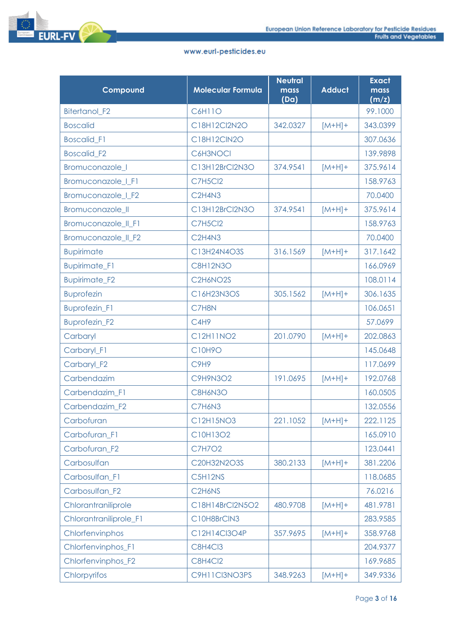

| Compound               | <b>Molecular Formula</b>                       | <b>Neutral</b><br>mass<br>(Da) | <b>Adduct</b> | <b>Exact</b><br>mass<br>(m/z) |
|------------------------|------------------------------------------------|--------------------------------|---------------|-------------------------------|
| Bitertanol_F2          | C6H11O                                         |                                |               | 99.1000                       |
| <b>Boscalid</b>        | C18H12Cl2N2O                                   | 342.0327                       | $[M+H]+$      | 343.0399                      |
| <b>Boscalid_F1</b>     | C18H12ClN2O                                    |                                |               | 307.0636                      |
| <b>Boscalid F2</b>     | C6H3NOCI                                       |                                |               | 139.9898                      |
| Bromuconazole_I        | C13H12BrCl2N3O                                 | 374.9541                       | $[M+H]+$      | 375.9614                      |
| Bromuconazole_I_F1     | <b>C7H5Cl2</b>                                 |                                |               | 158.9763                      |
| Bromuconazole_I_F2     | C <sub>2</sub> H <sub>4N3</sub>                |                                |               | 70.0400                       |
| Bromuconazole_II       | C13H12BrCl2N3O                                 | 374.9541                       | $[M+H]+$      | 375.9614                      |
| Bromuconazole_II_F1    | <b>C7H5Cl2</b>                                 |                                |               | 158.9763                      |
| Bromuconazole_II_F2    | C <sub>2</sub> H <sub>4N3</sub>                |                                |               | 70.0400                       |
| <b>Bupirimate</b>      | C13H24N4O3S                                    | 316.1569                       | $[M+H]+$      | 317.1642                      |
| <b>Bupirimate_F1</b>   | <b>C8H12N3O</b>                                |                                |               | 166.0969                      |
| <b>Bupirimate_F2</b>   | C <sub>2</sub> H <sub>6</sub> NO <sub>2S</sub> |                                |               | 108.0114                      |
| <b>Buprofezin</b>      | C16H23N3OS                                     | 305.1562                       | $[M+H]+$      | 306.1635                      |
| <b>Buprofezin_F1</b>   | C7H8N                                          |                                |               | 106.0651                      |
| <b>Buprofezin_F2</b>   | C <sub>4H9</sub>                               |                                |               | 57.0699                       |
| Carbaryl               | C12H11NO2                                      | 201.0790                       | $[M+H]+$      | 202.0863                      |
| Carbaryl_F1            | C10H9O                                         |                                |               | 145.0648                      |
| Carbaryl_F2            | C9H9                                           |                                |               | 117.0699                      |
| Carbendazim            | <b>C9H9N3O2</b>                                | 191.0695                       | $[M+H]+$      | 192.0768                      |
| Carbendazim_F1         | C8H6N3O                                        |                                |               | 160.0505                      |
| Carbendazim_F2         | C7H6N3                                         |                                |               | 132.0556                      |
| Carbofuran             | C12H15NO3                                      | 221.1052                       | $[M+H]+$      | 222.1125                      |
| Carbofuran F1          | C10H13O2                                       |                                |               | 165.0910                      |
| Carbofuran_F2          | <b>C7H7O2</b>                                  |                                |               | 123.0441                      |
| Carbosulfan            | C20H32N2O3S                                    | 380.2133                       | $[M+H]+$      | 381.2206                      |
| Carbosulfan F1         | C5H12NS                                        |                                |               | 118.0685                      |
| Carbosulfan_F2         | C <sub>2</sub> H <sub>6</sub> N <sub>S</sub>   |                                |               | 76.0216                       |
| Chlorantraniliprole    | C18H14BrCl2N5O2                                | 480.9708                       | $[M+H]+$      | 481.9781                      |
| Chlorantraniliprole_F1 | C10H8BrCIN3                                    |                                |               | 283.9585                      |
| Chlorfenvinphos        | C12H14Cl3O4P                                   | 357.9695                       | $[M+H]+$      | 358.9768                      |
| Chlorfenvinphos_F1     | C8H4Cl3                                        |                                |               | 204.9377                      |
| Chlorfenvinphos_F2     | <b>C8H4Cl2</b>                                 |                                |               | 169.9685                      |
| Chlorpyrifos           | C9H11Cl3NO3PS                                  | 348.9263                       | $[M+H]+$      | 349.9336                      |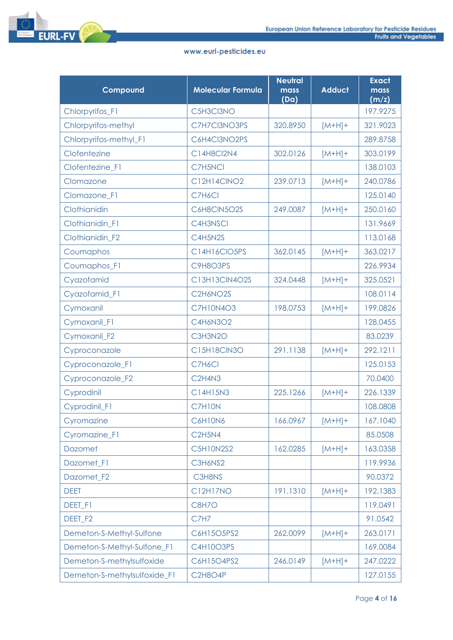



| Compound                     | <b>Molecular Formula</b> | <b>Neutral</b><br>mass<br>(Da) | <b>Adduct</b> | <b>Exact</b><br>mass<br>(m/z) |
|------------------------------|--------------------------|--------------------------------|---------------|-------------------------------|
| Chlorpyrifos_F1              | C5H3Cl3NO                |                                |               | 197.9275                      |
| Chlorpyrifos-methyl          | C7H7Cl3NO3PS             | 320.8950                       | $[M+H]+$      | 321.9023                      |
| Chlorpyrifos-methyl_F1       | C6H4Cl3NO2PS             |                                |               | 289.8758                      |
| Clofentezine                 | C14H8Cl2N4               | 302.0126                       | $[M+H]+$      | 303.0199                      |
| Clofentezine_F1              | C7H5NCI                  |                                |               | 138.0103                      |
| Clomazone                    | C12H14CINO2              | 239.0713                       | $[M+H]+$      | 240.0786                      |
| Clomazone_F1                 | C7H6Cl                   |                                |               | 125.0140                      |
| Clothianidin                 | C6H8CIN5O2S              | 249.0087                       | $[M+H]+$      | 250.0160                      |
| Clothianidin_F1              | C4H3NSCI                 |                                |               | 131.9669                      |
| Clothianidin_F2              | C4H5N2S                  |                                |               | 113.0168                      |
| Coumaphos                    | C14H16CIO5PS             | 362.0145                       | $[M+H]+$      | 363.0217                      |
| Coumaphos_F1                 | C9H8O3PS                 |                                |               | 226.9934                      |
| Cyazofamid                   | C13H13CIN4O2S            | 324.0448                       | $[M+H]+$      | 325.0521                      |
| Cyazofamid_F1                | C2H6NO2S                 |                                |               | 108.0114                      |
| Cymoxanil                    | <b>C7H10N4O3</b>         | 198.0753                       | $[M+H]+$      | 199.0826                      |
| Cymoxanil_F1                 | C4H6N3O2                 |                                |               | 128.0455                      |
| Cymoxanil_F2                 | C3H3N2O                  |                                |               | 83.0239                       |
| Cyproconazole                | <b>C15H18CIN3O</b>       | 291.1138                       | $[M+H]+$      | 292.1211                      |
| Cyproconazole_F1             | C7H6Cl                   |                                |               | 125.0153                      |
| Cyproconazole_F2             | C2H4N3                   |                                |               | 70.0400                       |
| Cyprodinil                   | C14H15N3                 | 225.1266                       | $[M+H]+$      | 226.1339                      |
| Cyprodinil_F1                | C7H10N                   |                                |               | 108.0808                      |
| Cyromazine                   | C6H10N6                  | 166.0967                       | $[M+H]+$      | 167.1040                      |
| Cyromazine F1                | <b>C2H5N4</b>            |                                |               | 85.0508                       |
| <b>Dazomet</b>               | <b>C5H10N2S2</b>         | 162.0285                       | $[M+H]+$      | 163.0358                      |
| Dazomet_F1                   | C3H6NS2                  |                                |               | 119.9936                      |
| Dazomet F <sub>2</sub>       | C3H8NS                   |                                |               | 90.0372                       |
| <b>DEET</b>                  | <b>C12H17NO</b>          | 191.1310                       | $[M+H]+$      | 192.1383                      |
| <b>DEET F1</b>               | C8H7O                    |                                |               | 119.0491                      |
| DEET_F2                      | C7H7                     |                                |               | 91.0542                       |
| Demeton-S-Methyl-Sulfone     | C6H15O5PS2               | 262.0099                       | $[M+H]+$      | 263.0171                      |
| Demeton-S-Methyl-Sulfone_F1  | C4H10O3PS                |                                |               | 169.0084                      |
| Demeton-S-methylsulfoxide    | C6H15O4PS2               | 246.0149                       | $[M+H]+$      | 247.0222                      |
| Demeton-S-methylsulfoxide_F1 | C2H8O4P                  |                                |               | 127.0155                      |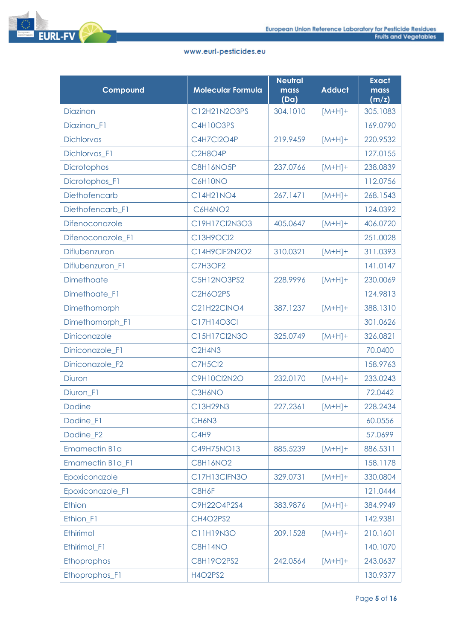

| Compound                | <b>Molecular Formula</b>        | <b>Neutral</b><br>mass<br>(Da) | <b>Adduct</b> | <b>Exact</b><br>mass<br>(m/z) |
|-------------------------|---------------------------------|--------------------------------|---------------|-------------------------------|
| Diazinon                | C12H21N2O3PS                    | 304.1010                       | $[M+H]+$      | 305.1083                      |
| Diazinon_F1             | C4H10O3PS                       |                                |               | 169.0790                      |
| <b>Dichlorvos</b>       | C4H7Cl2O4P                      | 219.9459                       | $[M+H]+$      | 220.9532                      |
| Dichlorvos_F1           | C2H8O4P                         |                                |               | 127.0155                      |
| Dicrotophos             | C8H16NO5P                       | 237.0766                       | $[M+H]+$      | 238.0839                      |
| Dicrotophos_F1          | C6H10NO                         |                                |               | 112.0756                      |
| Diethofencarb           | C14H21NO4                       | 267.1471                       | $[M+H]+$      | 268.1543                      |
| Diethofencarb_F1        | C6H6NO2                         |                                |               | 124.0392                      |
| Difenoconazole          | C19H17Cl2N3O3                   | 405.0647                       | $[M+H]+$      | 406.0720                      |
| Difenoconazole_F1       | C13H9OCl2                       |                                |               | 251.0028                      |
| Diflubenzuron           | C14H9CIF2N2O2                   | 310.0321                       | $[M+H]+$      | 311.0393                      |
| Diflubenzuron_F1        | C7H3OF2                         |                                |               | 141.0147                      |
| Dimethoate              | C5H12NO3PS2                     | 228.9996                       | $[M+H]+$      | 230.0069                      |
| Dimethoate_F1           | C2H6O2PS                        |                                |               | 124.9813                      |
| Dimethomorph            | <b>C21H22CINO4</b>              | 387.1237                       | $[M+H]+$      | 388.1310                      |
| Dimethomorph_F1         | C17H14O3Cl                      |                                |               | 301.0626                      |
| Diniconazole            | C15H17Cl2N3O                    | 325.0749                       | $[M+H]+$      | 326.0821                      |
| Diniconazole_F1         | C <sub>2</sub> H <sub>4N3</sub> |                                |               | 70.0400                       |
| Diniconazole_F2         | <b>C7H5Cl2</b>                  |                                |               | 158.9763                      |
| <b>Diuron</b>           | C9H10Cl2N2O                     | 232.0170                       | $[M+H]+$      | 233.0243                      |
| Diuron_F1               | C3H6NO                          |                                |               | 72.0442                       |
| <b>Dodine</b>           | C13H29N3                        | 227.2361                       | $[M+H]+$      | 228.2434                      |
| Dodine_F1               | CH6N3                           |                                |               | 60.0556                       |
| Dodine_F2               | C <sub>4</sub> H <sub>9</sub>   |                                |               | 57.0699                       |
| <b>Emamectin B1a</b>    | C49H75NO13                      | 885.5239                       | $[M+H]+$      | 886.5311                      |
| <b>Emamectin B1a F1</b> | <b>C8H16NO2</b>                 |                                |               | 158.1178                      |
| Epoxiconazole           | C17H13ClFN3O                    | 329.0731                       | $[M+H]+$      | 330.0804                      |
| Epoxiconazole_F1        | C8H6F                           |                                |               | 121.0444                      |
| Ethion                  | C9H22O4P2S4                     | 383.9876                       | $[M+H]+$      | 384.9949                      |
| Ethion_F1               | CH4O2PS2                        |                                |               | 142.9381                      |
| Ethirimol               | C11H19N3O                       | 209.1528                       | $[M+H]+$      | 210.1601                      |
| Ethirimol_F1            | C8H14NO                         |                                |               | 140.1070                      |
| Ethoprophos             | C8H19O2PS2                      | 242.0564                       | $[M+H]+$      | 243.0637                      |
| Ethoprophos_F1          | <b>H4O2PS2</b>                  |                                |               | 130.9377                      |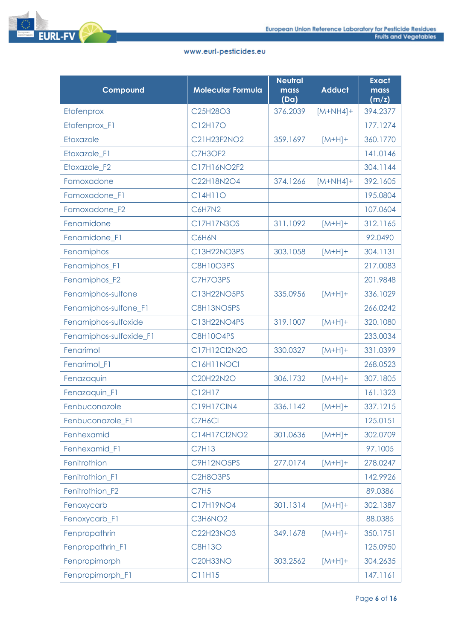

| Compound                | <b>Molecular Formula</b> | <b>Neutral</b><br>mass<br>(Da) | <b>Adduct</b> | <b>Exact</b><br>mass<br>(m/z) |
|-------------------------|--------------------------|--------------------------------|---------------|-------------------------------|
| Etofenprox              | C25H28O3                 | 376.2039                       | $[M+NH4]+$    | 394.2377                      |
| Etofenprox_F1           | C12H17O                  |                                |               | 177.1274                      |
| Etoxazole               | C21H23F2NO2              | 359.1697                       | $[M+H]+$      | 360.1770                      |
| Etoxazole_F1            | C7H3OF2                  |                                |               | 141.0146                      |
| Etoxazole_F2            | C17H16NO2F2              |                                |               | 304.1144                      |
| Famoxadone              | C22H18N2O4               | 374.1266                       | $[M+NH4]+$    | 392.1605                      |
| Famoxadone_F1           | C14H11O                  |                                |               | 195.0804                      |
| Famoxadone_F2           | C6H7N2                   |                                |               | 107.0604                      |
| Fenamidone              | <b>C17H17N3OS</b>        | 311.1092                       | $[M+H]+$      | 312.1165                      |
| Fenamidone F1           | C6H6N                    |                                |               | 92.0490                       |
| Fenamiphos              | C13H22NO3PS              | 303.1058                       | $[M+H]+$      | 304.1131                      |
| Fenamiphos_F1           | C8H10O3PS                |                                |               | 217.0083                      |
| Fenamiphos_F2           | C7H7O3PS                 |                                |               | 201.9848                      |
| Fenamiphos-sulfone      | C13H22NO5PS              | 335.0956                       | $[M+H]+$      | 336.1029                      |
| Fenamiphos-sulfone_F1   | C8H13NO5PS               |                                |               | 266.0242                      |
| Fenamiphos-sulfoxide    | C13H22NO4PS              | 319.1007                       | $[M+H]+$      | 320.1080                      |
| Fenamiphos-sulfoxide_F1 | <b>C8H10O4PS</b>         |                                |               | 233.0034                      |
| Fenarimol               | C17H12Cl2N2O             | 330.0327                       | $[M+H]+$      | 331.0399                      |
| Fenarimol_F1            | C16H11NOCI               |                                |               | 268.0523                      |
| Fenazaquin              | C20H22N2O                | 306.1732                       | $[M+H]+$      | 307.1805                      |
| Fenazaquin_F1           | C12H17                   |                                |               | 161.1323                      |
| Fenbuconazole           | <b>C19H17CIN4</b>        | 336.1142                       | $[M+H]+$      | 337.1215                      |
| Fenbuconazole_F1        | C7H6Cl                   |                                |               | 125.0151                      |
| Fenhexamid              | C14H17Cl2NO2             | 301.0636                       | $[M+H]+$      | 302.0709                      |
| Fenhexamid_F1           | <b>C7H13</b>             |                                |               | 97.1005                       |
| Fenitrothion            | C9H12NO5PS               | 277.0174                       | $[M+H]+$      | 278.0247                      |
| Fenitrothion_F1         | C2H8O3PS                 |                                |               | 142.9926                      |
| Fenitrothion_F2         | <b>C7H5</b>              |                                |               | 89.0386                       |
| Fenoxycarb              | C17H19NO4                | 301.1314                       | $[M+H]+$      | 302.1387                      |
| Fenoxycarb_F1           | C3H6NO2                  |                                |               | 88.0385                       |
| Fenpropathrin           | C22H23NO3                | 349.1678                       | $[M+H]+$      | 350.1751                      |
| Fenpropathrin_F1        | <b>C8H13O</b>            |                                |               | 125.0950                      |
| Fenpropimorph           | <b>C20H33NO</b>          | 303.2562                       | $[M+H]+$      | 304.2635                      |
| Fenpropimorph_F1        | C11H15                   |                                |               | 147.1161                      |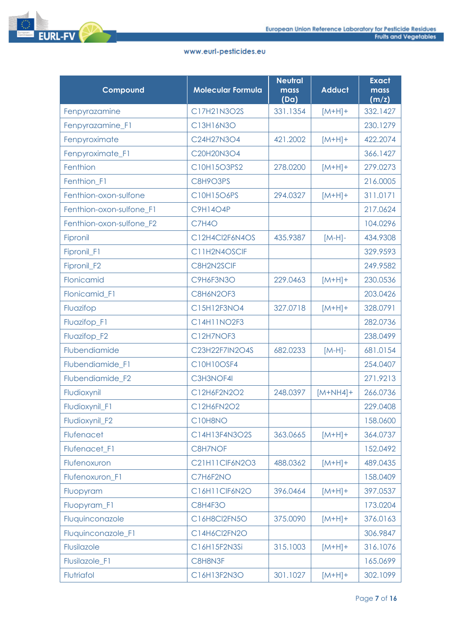| Compound                 | <b>Molecular Formula</b> | <b>Neutral</b><br>mass<br>(Da) | <b>Adduct</b> | <b>Exact</b><br>mass<br>(m/z) |
|--------------------------|--------------------------|--------------------------------|---------------|-------------------------------|
| Fenpyrazamine            | C17H21N3O2S              | 331.1354                       | $[M+H]+$      | 332.1427                      |
| Fenpyrazamine_F1         | C13H16N3O                |                                |               | 230.1279                      |
| Fenpyroximate            | C24H27N3O4               | 421.2002                       | $[M+H]+$      | 422.2074                      |
| Fenpyroximate_F1         | C20H20N3O4               |                                |               | 366.1427                      |
| Fenthion                 | C10H15O3PS2              | 278,0200                       | $[M+H]+$      | 279.0273                      |
| Fenthion_F1              | C8H9O3PS                 |                                |               | 216.0005                      |
| Fenthion-oxon-sulfone    | C10H15O6PS               | 294.0327                       | $[M+H]+$      | 311.0171                      |
| Fenthion-oxon-sulfone_F1 | <b>C9H14O4P</b>          |                                |               | 217.0624                      |
| Fenthion-oxon-sulfone_F2 | <b>C7H4O</b>             |                                |               | 104.0296                      |
| Fipronil                 | C12H4Cl2F6N4OS           | 435.9387                       | $[M-H]$ -     | 434.9308                      |
| Fipronil_F1              | C11H2N4OSCIF             |                                |               | 329.9593                      |
| Fipronil_F2              | C8H2N2SCIF               |                                |               | 249.9582                      |
| Flonicamid               | C9H6F3N3O                | 229.0463                       | $[M+H]+$      | 230.0536                      |
| Flonicamid_F1            | <b>C8H6N2OF3</b>         |                                |               | 203.0426                      |
| Fluazifop                | C15H12F3NO4              | 327.0718                       | $[M+H]+$      | 328.0791                      |
| Fluazifop_F1             | C14H11NO2F3              |                                |               | 282.0736                      |
| Fluazifop_F2             | C12H7NOF3                |                                |               | 238.0499                      |
| Flubendiamide            | C23H22F7IN2O4S           | 682.0233                       | $[M-H]$ -     | 681.0154                      |
| Flubendiamide_F1         | C10H10OSF4               |                                |               | 254.0407                      |
| Flubendiamide_F2         | C3H3NOF4I                |                                |               | 271.9213                      |
| Fludioxynil              | C12H6F2N2O2              | 248.0397                       | $[M+NH4]+$    | 266.0736                      |
| Fludioxynil_F1           | C12H6FN2O2               |                                |               | 229.0408                      |
| Fludioxynil_F2           | C10H8NO                  |                                |               | 158.0600                      |
| Flufenacet               | C14H13F4N3O2S            | 363.0665                       | $[M+H]+$      | 364.0737                      |
| Flufenacet_F1            | C8H7NOF                  |                                |               | 152.0492                      |
| Flufenoxuron             | C21H11CIF6N2O3           | 488.0362                       | $[M+H]+$      | 489.0435                      |
| Flufenoxuron_F1          | C7H6F2NO                 |                                |               | 158.0409                      |
| Fluopyram                | C16H11CIF6N2O            | 396.0464                       | $[M+H]+$      | 397.0537                      |
| Fluopyram_F1             | <b>C8H4F3O</b>           |                                |               | 173.0204                      |
| Fluquinconazole          | C16H8Cl2FN5O             | 375.0090                       | $[M+H]+$      | 376.0163                      |
| Fluquinconazole_F1       | C14H6Cl2FN2O             |                                |               | 306.9847                      |
| Flusilazole              | C16H15F2N3Si             | 315.1003                       | $[M+H]+$      | 316.1076                      |
| Flusilazole_F1           | C8H8N3F                  |                                |               | 165.0699                      |
| Flutriafol               | C16H13F2N3O              | 301.1027                       | $[M+H]+$      | 302.1099                      |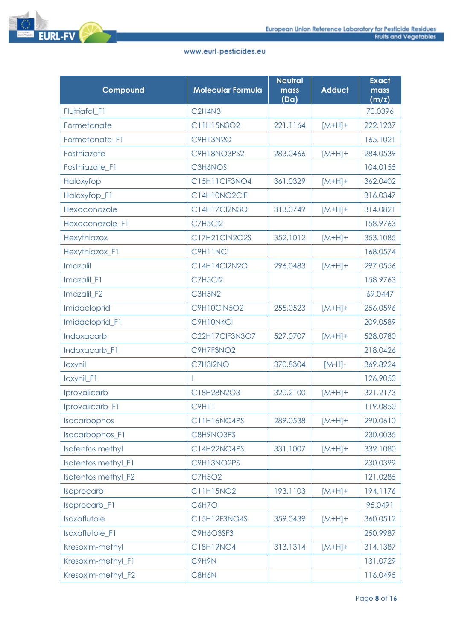

| Compound                | <b>Molecular Formula</b>        | <b>Neutral</b><br>mass<br>(Da) | <b>Adduct</b> | <b>Exact</b><br>mass<br>(m/z) |
|-------------------------|---------------------------------|--------------------------------|---------------|-------------------------------|
| Flutriafol_F1           | C <sub>2</sub> H <sub>4N3</sub> |                                |               | 70.0396                       |
| Formetanate             | C11H15N3O2                      | 221.1164                       | $[M+H]+$      | 222.1237                      |
| Formetanate_F1          | <b>C9H13N2O</b>                 |                                |               | 165.1021                      |
| Fosthiazate             | C9H18NO3PS2                     | 283.0466                       | $[M+H]+$      | 284.0539                      |
| Fosthiazate_F1          | <b>C3H6NOS</b>                  |                                |               | 104.0155                      |
| Haloxyfop               | C15H11CIF3NO4                   | 361.0329                       | $[M+H]+$      | 362.0402                      |
| Haloxyfop_F1            | C14H10NO2CIF                    |                                |               | 316.0347                      |
| Hexaconazole            | C14H17Cl2N3O                    | 313.0749                       | $[M+H]+$      | 314.0821                      |
| Hexaconazole F1         | <b>C7H5Cl2</b>                  |                                |               | 158.9763                      |
| Hexythiazox             | C17H21ClN2O2S                   | 352.1012                       | $[M+H]+$      | 353.1085                      |
| Hexythiazox_F1          | C9H11NCI                        |                                |               | 168.0574                      |
| Imazalil                | C14H14Cl2N2O                    | 296.0483                       | $[M+H]+$      | 297.0556                      |
| Imazalil_F1             | <b>C7H5Cl2</b>                  |                                |               | 158.9763                      |
| Imazalil_F2             | C3H5N2                          |                                |               | 69.0447                       |
| Imidacloprid            | <b>C9H10CIN5O2</b>              | 255.0523                       | $[M+H]+$      | 256.0596                      |
| Imidacloprid_F1         | C9H10N4Cl                       |                                |               | 209.0589                      |
| Indoxacarb              | C22H17CIF3N3O7                  | 527.0707                       | $[M+H]+$      | 528.0780                      |
| Indoxacarb_F1           | C9H7F3NO2                       |                                |               | 218.0426                      |
| loxynil                 | C7H3I2NO                        | 370.8304                       | $[M-H]$ -     | 369.8224                      |
| loxynil_F1              |                                 |                                |               | 126.9050                      |
| Iprovalicarb            | C18H28N2O3                      | 320.2100                       | $[M+H]+$      | 321.2173                      |
| Iprovalicarb_F1         | <b>C9H11</b>                    |                                |               | 119.0850                      |
| Isocarbophos            | C11H16NO4PS                     | 289.0538                       | $[M+H]+$      | 290.0610                      |
| Isocarbophos_F1         | C8H9NO3PS                       |                                |               | 230.0035                      |
| <b>Isofenfos methyl</b> | C14H22NO4PS                     | 331.1007                       | $[M+H]+$      | 332.1080                      |
| Isofenfos methyl_F1     | C9H13NO2PS                      |                                |               | 230.0399                      |
| Isofenfos methyl_F2     | <b>C7H5O2</b>                   |                                |               | 121.0285                      |
| Isoprocarb              | C11H15NO2                       | 193.1103                       | $[M+H]+$      | 194.1176                      |
| Isoprocarb_F1           | <b>C6H7O</b>                    |                                |               | 95.0491                       |
| Isoxaflutole            | C15H12F3NO4S                    | 359.0439                       | $[M+H]+$      | 360.0512                      |
| Isoxaflutole_F1         | C9H6O3SF3                       |                                |               | 250.9987                      |
| Kresoxim-methyl         | C18H19NO4                       | 313.1314                       | $[M+H]+$      | 314.1387                      |
| Kresoxim-methyl_F1      | C9H9N                           |                                |               | 131.0729                      |
| Kresoxim-methyl_F2      | C8H6N                           |                                |               | 116.0495                      |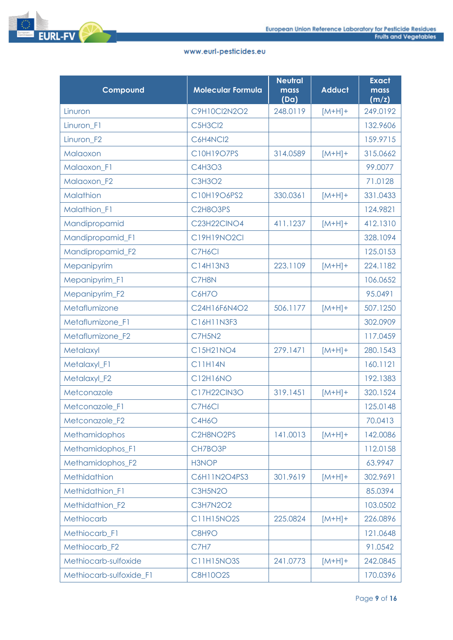

| Compound                | <b>Molecular Formula</b> | <b>Neutral</b><br>mass<br>(Da) | <b>Adduct</b> | <b>Exact</b><br>mass<br>(m/z) |
|-------------------------|--------------------------|--------------------------------|---------------|-------------------------------|
| Linuron                 | C9H10Cl2N2O2             | 248.0119                       | $[M+H]+$      | 249.0192                      |
| Linuron_F1              | C5H3Cl2                  |                                |               | 132.9606                      |
| Linuron_F2              | C6H4NCl2                 |                                |               | 159.9715                      |
| Malaoxon                | C10H19O7PS               | 314.0589                       | $[M+H]+$      | 315.0662                      |
| Malaoxon_F1             | C4H3O3                   |                                |               | 99.0077                       |
| Malaoxon F2             | <b>C3H3O2</b>            |                                |               | 71.0128                       |
| Malathion               | C10H19O6PS2              | 330.0361                       | $[M+H]+$      | 331.0433                      |
| Malathion_F1            | C2H8O3PS                 |                                |               | 124.9821                      |
| Mandipropamid           | C23H22CINO4              | 411.1237                       | $[M+H]+$      | 412.1310                      |
| Mandipropamid_F1        | C19H19NO2Cl              |                                |               | 328.1094                      |
| Mandipropamid_F2        | C7H6Cl                   |                                |               | 125.0153                      |
| Mepanipyrim             | C14H13N3                 | 223.1109                       | $[M+H]+$      | 224.1182                      |
| Mepanipyrim_F1          | C7H8N                    |                                |               | 106.0652                      |
| Mepanipyrim_F2          | <b>C6H7O</b>             |                                |               | 95.0491                       |
| Metaflumizone           | C24H16F6N4O2             | 506.1177                       | $[M+H]+$      | 507.1250                      |
| Metaflumizone_F1        | C16H11N3F3               |                                |               | 302.0909                      |
| Metaflumizone_F2        | <b>C7H5N2</b>            |                                |               | 117.0459                      |
| Metalaxyl               | C15H21NO4                | 279.1471                       | $[M+H]+$      | 280.1543                      |
| Metalaxyl_F1            | <b>C11H14N</b>           |                                |               | 160.1121                      |
| Metalaxyl_F2            | C12H16NO                 |                                |               | 192.1383                      |
| Metconazole             | <b>C17H22CIN3O</b>       | 319.1451                       | $[M+H]+$      | 320.1524                      |
| Metconazole_F1          | C7H6Cl                   |                                |               | 125.0148                      |
| Metconazole F2          | <b>C4H6O</b>             |                                |               | 70.0413                       |
| Methamidophos           | C2H8NO2PS                | 141.0013                       | $[M+H]+$      | 142.0086                      |
| Methamidophos_F1        | CH7BO3P                  |                                |               | 112.0158                      |
| Methamidophos_F2        | H3NOP                    |                                |               | 63.9947                       |
| Methidathion            | C6H11N2O4PS3             | 301.9619                       | $[M+H]+$      | 302.9691                      |
| Methidathion_F1         | C3H5N2O                  |                                |               | 85.0394                       |
| Methidathion F2         | <b>C3H7N2O2</b>          |                                |               | 103.0502                      |
| Methiocarb              | <b>C11H15NO2S</b>        | 225.0824                       | $[M+H]+$      | 226.0896                      |
| Methiocarb_F1           | C8H9O                    |                                |               | 121.0648                      |
| Methiocarb_F2           | C7H7                     |                                |               | 91.0542                       |
| Methiocarb-sulfoxide    | <b>C11H15NO3S</b>        | 241.0773                       | $[M+H]+$      | 242.0845                      |
| Methiocarb-sulfoxide_F1 | <b>C8H10O2S</b>          |                                |               | 170.0396                      |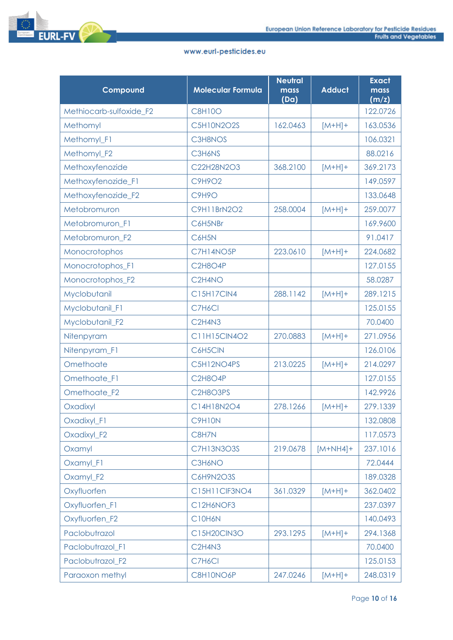



| Compound                | <b>Molecular Formula</b>         | <b>Neutral</b><br>mass<br>(Da) | <b>Adduct</b> | <b>Exact</b><br>mass<br>(m/z) |
|-------------------------|----------------------------------|--------------------------------|---------------|-------------------------------|
| Methiocarb-sulfoxide_F2 | <b>C8H10O</b>                    |                                |               | 122.0726                      |
| Methomyl                | <b>C5H10N2O2S</b>                | 162.0463                       | $[M+H]+$      | 163.0536                      |
| Methomyl_F1             | C3H8NOS                          |                                |               | 106.0321                      |
| Methomyl_F2             | C3H6NS                           |                                |               | 88.0216                       |
| Methoxyfenozide         | C22H28N2O3                       | 368.2100                       | $[M+H]+$      | 369.2173                      |
| Methoxyfenozide F1      | C9H9O2                           |                                |               | 149.0597                      |
| Methoxyfenozide_F2      | C9H9O                            |                                |               | 133.0648                      |
| Metobromuron            | C9H11BrN2O2                      | 258.0004                       | $[M+H]+$      | 259.0077                      |
| Metobromuron_F1         | C6H5NBr                          |                                |               | 169.9600                      |
| Metobromuron_F2         | C6H5N                            |                                |               | 91.0417                       |
| Monocrotophos           | C7H14NO5P                        | 223.0610                       | $[M+H]+$      | 224.0682                      |
| Monocrotophos_F1        | <b>C2H8O4P</b>                   |                                |               | 127.0155                      |
| Monocrotophos_F2        | C <sub>2</sub> H <sub>4</sub> NO |                                |               | 58.0287                       |
| Myclobutanil            | <b>C15H17CIN4</b>                | 288.1142                       | $[M+H]+$      | 289.1215                      |
| Myclobutanil_F1         | C7H6Cl                           |                                |               | 125.0155                      |
| Myclobutanil_F2         | C <sub>2</sub> H <sub>4N3</sub>  |                                |               | 70.0400                       |
| Nitenpyram              | C11H15ClN4O2                     | 270.0883                       | $[M+H]+$      | 271.0956                      |
| Nitenpyram_F1           | C6H5CIN                          |                                |               | 126.0106                      |
| Omethoate               | C5H12NO4PS                       | 213.0225                       | $[M+H]+$      | 214.0297                      |
| Omethoate_F1            | C2H8O4P                          |                                |               | 127.0155                      |
| Omethoate_F2            | C2H8O3PS                         |                                |               | 142.9926                      |
| Oxadixyl                | C14H18N2O4                       | 278.1266                       | $[M+H]+$      | 279.1339                      |
| Oxadixyl_F1             | C9H10N                           |                                |               | 132.0808                      |
| Oxadixyl_F2             | C8H7N                            |                                |               | 117.0573                      |
| Oxamyl                  | <b>C7H13N3O3S</b>                | 219.0678                       | $[M+NH4]+$    | 237.1016                      |
| Oxamyl_F1               | C3H6NO                           |                                |               | 72.0444                       |
| Oxamyl_F2               | C6H9N2O3S                        |                                |               | 189.0328                      |
| Oxyfluorfen             | C15H11CIF3NO4                    | 361.0329                       | $[M+H]+$      | 362.0402                      |
| Oxyfluorfen_F1          | C12H6NOF3                        |                                |               | 237.0397                      |
| Oxyfluorfen_F2          | C10H6N                           |                                |               | 140.0493                      |
| Paclobutrazol           | C15H20CIN3O                      | 293.1295                       | $[M+H]+$      | 294.1368                      |
| Paclobutrazol_F1        | C <sub>2</sub> H <sub>4N3</sub>  |                                |               | 70.0400                       |
| Paclobutrazol_F2        | C7H6Cl                           |                                |               | 125.0153                      |
| Paraoxon methyl         | C8H10NO6P                        | 247.0246                       | $[M+H]+$      | 248.0319                      |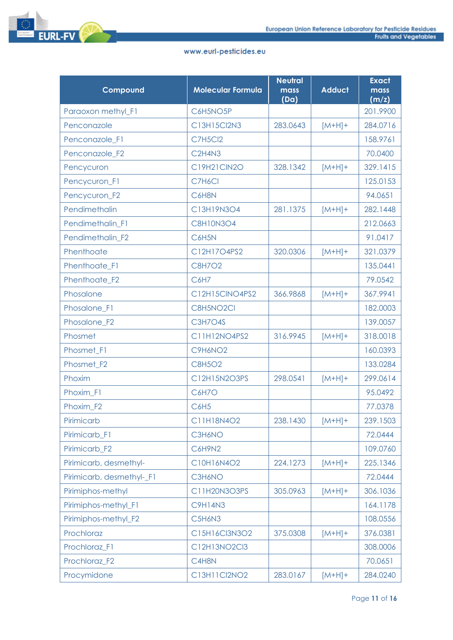| Compound                  | <b>Molecular Formula</b>        | <b>Neutral</b><br>mass<br>(Da) | <b>Adduct</b> | <b>Exact</b><br>mass<br>(m/z) |
|---------------------------|---------------------------------|--------------------------------|---------------|-------------------------------|
| Paraoxon methyl_F1        | C6H5NO5P                        |                                |               | 201.9900                      |
| Penconazole               | C13H15Cl2N3                     | 283.0643                       | $[M+H]+$      | 284.0716                      |
| Penconazole_F1            | <b>C7H5Cl2</b>                  |                                |               | 158.9761                      |
| Penconazole_F2            | C <sub>2</sub> H <sub>4N3</sub> |                                |               | 70.0400                       |
| Pencycuron                | C19H21ClN2O                     | 328.1342                       | $[M+H]+$      | 329.1415                      |
| Pencycuron_F1             | C7H6Cl                          |                                |               | 125.0153                      |
| Pencycuron_F2             | C6H8N                           |                                |               | 94.0651                       |
| Pendimethalin             | C13H19N3O4                      | 281.1375                       | $[M+H]+$      | 282.1448                      |
| Pendimethalin_F1          | <b>C8H10N3O4</b>                |                                |               | 212.0663                      |
| Pendimethalin_F2          | C6H5N                           |                                |               | 91.0417                       |
| Phenthoate                | C12H17O4PS2                     | 320.0306                       | $[M+H]+$      | 321.0379                      |
| Phenthoate F1             | <b>C8H7O2</b>                   |                                |               | 135.0441                      |
| Phenthoate_F2             | C6H7                            |                                |               | 79.0542                       |
| Phosalone                 | C12H15CINO4PS2                  | 366.9868                       | $[M+H]+$      | 367.9941                      |
| Phosalone_F1              | C8H5NO2Cl                       |                                |               | 182.0003                      |
| Phosalone_F2              | <b>C3H7O4S</b>                  |                                |               | 139.0057                      |
| Phosmet                   | C11H12NO4PS2                    | 316.9945                       | $[M+H]+$      | 318.0018                      |
| Phosmet_F1                | C9H6NO <sub>2</sub>             |                                |               | 160.0393                      |
| Phosmet_F2                | <b>C8H5O2</b>                   |                                |               | 133.0284                      |
| Phoxim                    | C12H15N2O3PS                    | 298.0541                       | $[M+H]+$      | 299.0614                      |
| Phoxim_F1                 | <b>C6H7O</b>                    |                                |               | 95.0492                       |
| Phoxim_F2                 | <b>C6H5</b>                     |                                |               | 77.0378                       |
| Pirimicarb                | C11H18N4O2                      | 238.1430                       | $[M+H]+$      | 239.1503                      |
| Pirimicarb F1             | C3H6NO                          |                                |               | 72.0444                       |
| Pirimicarb_F2             | C6H9N2                          |                                |               | 109.0760                      |
| Pirimicarb, desmethyl-    | C10H16N4O2                      | 224.1273                       | $[M+H]+$      | 225.1346                      |
| Pirimicarb, desmethyl-_F1 | C3H6NO                          |                                |               | 72.0444                       |
| Pirimiphos-methyl         | C11H20N3O3PS                    | 305.0963                       | $[M+H]+$      | 306.1036                      |
| Pirimiphos-methyl F1      | <b>C9H14N3</b>                  |                                |               | 164.1178                      |
| Pirimiphos-methyl_F2      | C5H6N3                          |                                |               | 108.0556                      |
| Prochloraz                | C15H16Cl3N3O2                   | 375.0308                       | $[M+H]+$      | 376.0381                      |
| Prochloraz_F1             | C12H13NO2Cl3                    |                                |               | 308.0006                      |
| Prochloraz_F2             | C4H8N                           |                                |               | 70.0651                       |
| Procymidone               | C13H11Cl2NO2                    | 283.0167                       | $[M+H]+$      | 284.0240                      |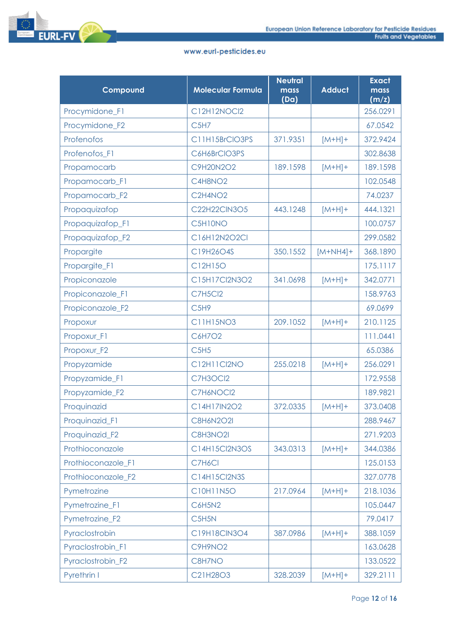

| Compound           | <b>Molecular Formula</b>      | <b>Neutral</b><br>mass<br>(Da) | <b>Adduct</b> | <b>Exact</b><br>mass<br>(m/z) |
|--------------------|-------------------------------|--------------------------------|---------------|-------------------------------|
| Procymidone_F1     | C12H12NOCl2                   |                                |               | 256.0291                      |
| Procymidone F2     | C <sub>5</sub> H <sub>7</sub> |                                |               | 67.0542                       |
| Profenofos         | C11H15BrCIO3PS                | 371.9351                       | $[M+H]+$      | 372.9424                      |
| Profenofos_F1      | C6H6BrCIO3PS                  |                                |               | 302.8638                      |
| Propamocarb        | C9H20N2O2                     | 189.1598                       | $[M+H]+$      | 189.1598                      |
| Propamocarb_F1     | C4H8NO2                       |                                |               | 102.0548                      |
| Propamocarb_F2     | C2H4NO2                       |                                |               | 74.0237                       |
| Propaquizafop      | C22H22ClN3O5                  | 443.1248                       | $[M+H]+$      | 444.1321                      |
| Propaquizafop_F1   | C5H10NO                       |                                |               | 100.0757                      |
| Propaquizafop_F2   | C16H12N2O2Cl                  |                                |               | 299.0582                      |
| Propargite         | C19H26O4S                     | 350.1552                       | $[M+NH4]+$    | 368.1890                      |
| Propargite_F1      | C12H15O                       |                                |               | 175.1117                      |
| Propiconazole      | C15H17Cl2N3O2                 | 341.0698                       | $[M+H]+$      | 342.0771                      |
| Propiconazole_F1   | <b>C7H5Cl2</b>                |                                |               | 158.9763                      |
| Propiconazole_F2   | C <sub>5</sub> H <sub>9</sub> |                                |               | 69.0699                       |
| Propoxur           | C11H15NO3                     | 209.1052                       | $[M+H]+$      | 210.1125                      |
| Propoxur_F1        | C6H7O2                        |                                |               | 111.0441                      |
| Propoxur_F2        | C5H5                          |                                |               | 65.0386                       |
| Propyzamide        | C12H11Cl2NO                   | 255.0218                       | $[M+H]+$      | 256.0291                      |
| Propyzamide_F1     | C7H3OCl2                      |                                |               | 172.9558                      |
| Propyzamide_F2     | C7H6NOCI2                     |                                |               | 189.9821                      |
| Proquinazid        | C14H17IN2O2                   | 372.0335                       | $[M+H]+$      | 373.0408                      |
| Proquinazid_F1     | C8H6N2O2I                     |                                |               | 288.9467                      |
| Proquinazid_F2     | C8H3NO2I                      |                                |               | 271.9203                      |
| Prothioconazole    | C14H15Cl2N3OS                 | 343.0313                       | $[M+H]+$      | 344.0386                      |
| Prothioconazole_F1 | C7H6Cl                        |                                |               | 125.0153                      |
| Prothioconazole_F2 | C14H15Cl2N3S                  |                                |               | 327.0778                      |
| Pymetrozine        | C10H11N5O                     | 217.0964                       | $[M+H]+$      | 218.1036                      |
| Pymetrozine_F1     | <b>C6H5N2</b>                 |                                |               | 105.0447                      |
| Pymetrozine_F2     | C5H5N                         |                                |               | 79.0417                       |
| Pyraclostrobin     | C19H18ClN3O4                  | 387.0986                       | $[M+H]+$      | 388.1059                      |
| Pyraclostrobin_F1  | C9H9NO2                       |                                |               | 163.0628                      |
| Pyraclostrobin_F2  | C8H7NO                        |                                |               | 133.0522                      |
| Pyrethrin I        | C21H28O3                      | 328.2039                       | $[M+H]+$      | 329.2111                      |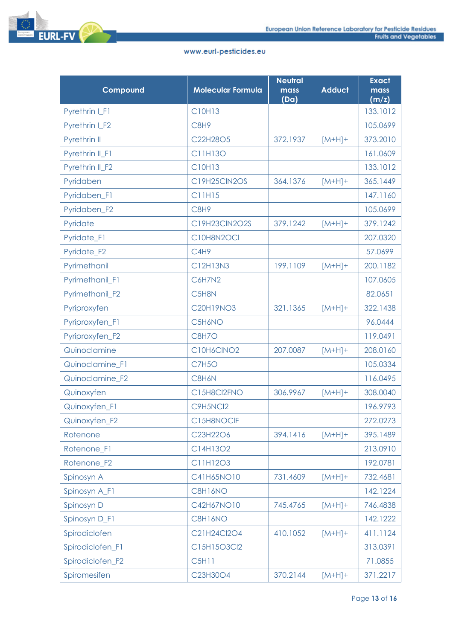

| Compound         | <b>Molecular Formula</b> | <b>Neutral</b><br>mass<br>(Da) | <b>Adduct</b> | <b>Exact</b><br>mass<br>(m/z) |
|------------------|--------------------------|--------------------------------|---------------|-------------------------------|
| Pyrethrin I_F1   | C10H13                   |                                |               | 133.1012                      |
| Pyrethrin I F2   | C8H9                     |                                |               | 105.0699                      |
| Pyrethrin II     | C22H28O5                 | 372.1937                       | $[M+H]+$      | 373.2010                      |
| Pyrethrin II_F1  | C11H13O                  |                                |               | 161.0609                      |
| Pyrethrin II_F2  | C10H13                   |                                |               | 133.1012                      |
| Pyridaben        | <b>C19H25CIN2OS</b>      | 364.1376                       | $[M+H]+$      | 365.1449                      |
| Pyridaben_F1     | <b>C11H15</b>            |                                |               | 147.1160                      |
| Pyridaben_F2     | C8H9                     |                                |               | 105.0699                      |
| Pyridate         | C19H23ClN2O2S            | 379.1242                       | $[M+H]+$      | 379.1242                      |
| Pyridate_F1      | C10H8N2OCI               |                                |               | 207.0320                      |
| Pyridate_F2      | C4H9                     |                                |               | 57.0699                       |
| Pyrimethanil     | C12H13N3                 | 199.1109                       | $[M+H]+$      | 200.1182                      |
| Pyrimethanil F1  | C6H7N2                   |                                |               | 107.0605                      |
| Pyrimethanil_F2  | C5H8N                    |                                |               | 82.0651                       |
| Pyriproxyfen     | <b>C20H19NO3</b>         | 321.1365                       | $[M+H]+$      | 322.1438                      |
| Pyriproxyfen_F1  | C5H6NO                   |                                |               | 96.0444                       |
| Pyriproxyfen_F2  | C8H7O                    |                                |               | 119.0491                      |
| Quinoclamine     | C10H6CINO2               | 207.0087                       | $[M+H]+$      | 208.0160                      |
| Quinoclamine_F1  | <b>C7H5O</b>             |                                |               | 105.0334                      |
| Quinoclamine F2  | C8H6N                    |                                |               | 116.0495                      |
| Quinoxyfen       | C15H8Cl2FNO              | 306.9967                       | $[M+H]+$      | 308.0040                      |
| Quinoxyfen_F1    | C9H5NCl2                 |                                |               | 196.9793                      |
| Quinoxyfen_F2    | C15H8NOCIF               |                                |               | 272.0273                      |
| Rotenone         | C23H22O6                 | 394.1416                       | $[M+H]+$      | 395.1489                      |
| Rotenone_F1      | C14H13O2                 |                                |               | 213.0910                      |
| Rotenone_F2      | C11H12O3                 |                                |               | 192.0781                      |
| Spinosyn A       | C41H65NO10               | 731.4609                       | $[M+H]+$      | 732.4681                      |
| Spinosyn A_F1    | C8H16NO                  |                                |               | 142.1224                      |
| Spinosyn D       | C42H67NO10               | 745.4765                       | $[M+H]+$      | 746.4838                      |
| Spinosyn D_F1    | C8H16NO                  |                                |               | 142.1222                      |
| Spirodiclofen    | C21H24Cl2O4              | 410.1052                       | $[M+H]+$      | 411.1124                      |
| Spirodiclofen_F1 | C15H15O3Cl2              |                                |               | 313.0391                      |
| Spirodiclofen_F2 | <b>C5H11</b>             |                                |               | 71.0855                       |
| Spiromesifen     | C23H30O4                 | 370.2144                       | $[M+H]+$      | 371.2217                      |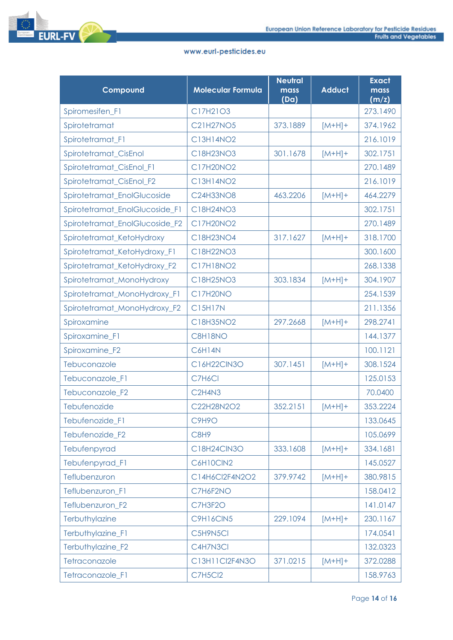

| Compound                       | <b>Molecular Formula</b>        | <b>Neutral</b><br>mass<br>(Da) | <b>Adduct</b> | <b>Exact</b><br>mass<br>(m/z) |
|--------------------------------|---------------------------------|--------------------------------|---------------|-------------------------------|
| Spiromesifen_F1                | C17H21O3                        |                                |               | 273.1490                      |
| Spirotetramat                  | <b>C21H27NO5</b>                | 373.1889                       | $[M+H]+$      | 374.1962                      |
| Spirotetramat_F1               | C13H14NO2                       |                                |               | 216.1019                      |
| Spirotetramat_CisEnol          | C18H23NO3                       | 301.1678                       | $[M+H]+$      | 302.1751                      |
| Spirotetramat CisEnol F1       | C17H20NO2                       |                                |               | 270.1489                      |
| Spirotetramat_CisEnol_F2       | C13H14NO2                       |                                |               | 216.1019                      |
| Spirotetramat_EnolGlucoside    | <b>C24H33NO8</b>                | 463.2206                       | $[M+H]+$      | 464.2279                      |
| Spirotetramat_EnolGlucoside_F1 | C18H24NO3                       |                                |               | 302.1751                      |
| Spirotetramat_EnolGlucoside_F2 | C17H20NO2                       |                                |               | 270.1489                      |
| Spirotetramat_KetoHydroxy      | C18H23NO4                       | 317.1627                       | $[M+H]+$      | 318.1700                      |
| Spirotetramat_KetoHydroxy_F1   | C18H22NO3                       |                                |               | 300.1600                      |
| Spirotetramat KetoHydroxy F2   | C17H18NO2                       |                                |               | 268.1338                      |
| Spirotetramat_MonoHydroxy      | C18H25NO3                       | 303.1834                       | $[M+H]+$      | 304.1907                      |
| Spirotetramat_MonoHydroxy_F1   | <b>C17H20NO</b>                 |                                |               | 254.1539                      |
| Spirotetramat_MonoHydroxy_F2   | <b>C15H17N</b>                  |                                |               | 211.1356                      |
| Spiroxamine                    | C18H35NO2                       | 297.2668                       | $[M+H]+$      | 298.2741                      |
| Spiroxamine_F1                 | C8H18NO                         |                                |               | 144.1377                      |
| Spiroxamine_F2                 | C6H14N                          |                                |               | 100.1121                      |
| Tebuconazole                   | C16H22CIN3O                     | 307.1451                       | $[M+H]+$      | 308.1524                      |
| Tebuconazole_F1                | C7H6Cl                          |                                |               | 125.0153                      |
| Tebuconazole F2                | C <sub>2</sub> H <sub>4N3</sub> |                                |               | 70.0400                       |
| Tebufenozide                   | C22H28N2O2                      | 352.2151                       | $[M+H]+$      | 353.2224                      |
| Tebufenozide_F1                | C9H9O                           |                                |               | 133.0645                      |
| Tebufenozide_F2                | C8H9                            |                                |               | 105.0699                      |
| Tebufenpyrad                   | C18H24ClN3O                     | 333.1608                       | $[M+H]+$      | 334.1681                      |
| Tebufenpyrad_F1                | C6H10ClN2                       |                                |               | 145.0527                      |
| Teflubenzuron                  | C14H6Cl2F4N2O2                  | 379.9742                       | $[M+H]+$      | 380.9815                      |
| Teflubenzuron F1               | C7H6F2NO                        |                                |               | 158.0412                      |
| Teflubenzuron_F2               | C7H3F2O                         |                                |               | 141.0147                      |
| Terbuthylazine                 | <b>C9H16CIN5</b>                | 229.1094                       | $[M+H]+$      | 230.1167                      |
| Terbuthylazine_F1              | C5H9N5Cl                        |                                |               | 174.0541                      |
| Terbuthylazine_F2              | C4H7N3Cl                        |                                |               | 132.0323                      |
| Tetraconazole                  | C13H11Cl2F4N3O                  | 371.0215                       | $[M+H]+$      | 372.0288                      |
| Tetraconazole_F1               | C7H5Cl2                         |                                |               | 158.9763                      |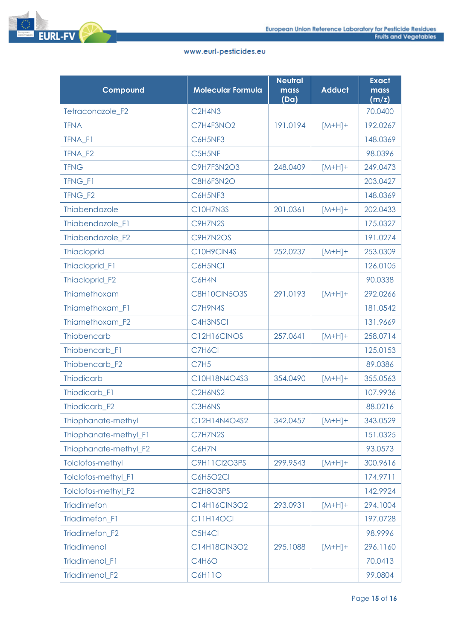

| Compound                   | <b>Molecular Formula</b>        | <b>Neutral</b><br>mass<br>(Da) | <b>Adduct</b> | <b>Exact</b><br>mass<br>(m/z) |
|----------------------------|---------------------------------|--------------------------------|---------------|-------------------------------|
| Tetraconazole_F2           | C <sub>2</sub> H <sub>4N3</sub> |                                |               | 70.0400                       |
| <b>TFNA</b>                | C7H4F3NO2                       | 191.0194                       | $[M+H]+$      | 192.0267                      |
| TFNA_F1                    | C6H5NF3                         |                                |               | 148.0369                      |
| TFNA_F2                    | C5H5NF                          |                                |               | 98.0396                       |
| <b>TFNG</b>                | <b>C9H7F3N2O3</b>               | 248.0409                       | $[M+H]+$      | 249.0473                      |
| TFNG F1                    | C8H6F3N2O                       |                                |               | 203.0427                      |
| TFNG_F2                    | C6H5NF3                         |                                |               | 148.0369                      |
| Thiabendazole              | C10H7N3S                        | 201.0361                       | $[M+H]+$      | 202.0433                      |
| Thiabendazole_F1           | C9H7N2S                         |                                |               | 175.0327                      |
| Thiabendazole F2           | C9H7N2OS                        |                                |               | 191.0274                      |
| <b>Thiacloprid</b>         | C10H9CIN4S                      | 252.0237                       | $[M+H]+$      | 253.0309                      |
| Thiacloprid_F1             | C6H5NCI                         |                                |               | 126.0105                      |
| Thiacloprid_F2             | C6H4N                           |                                |               | 90.0338                       |
| Thiamethoxam               | C8H10CIN5O3S                    | 291.0193                       | $[M+H]+$      | 292.0266                      |
| Thiamethoxam_F1            | C7H9N4S                         |                                |               | 181.0542                      |
| Thiamethoxam_F2            | C4H3NSCI                        |                                |               | 131.9669                      |
| Thiobencarb                | C12H16CINOS                     | 257.0641                       | $[M+H]+$      | 258.0714                      |
| Thiobencarb_F1             | C7H6Cl                          |                                |               | 125.0153                      |
| Thiobencarb_F2             | <b>C7H5</b>                     |                                |               | 89.0386                       |
| <b>Thiodicarb</b>          | C10H18N4O4S3                    | 354.0490                       | $[M+H]+$      | 355.0563                      |
| Thiodicarb_F1              | C2H6NS2                         |                                |               | 107.9936                      |
| Thiodicarb_F2              | C3H6NS                          |                                |               | 88.0216                       |
| Thiophanate-methyl         | C12H14N4O4S2                    | 342.0457                       | $[M+H]+$      | 343.0529                      |
| Thiophanate-methyl_F1      | C7H7N2S                         |                                |               | 151.0325                      |
| Thiophanate-methyl_F2      | C6H7N                           |                                |               | 93.0573                       |
| Tolclofos-methyl           | C9H11Cl2O3PS                    | 299.9543                       | $[M+H]+$      | 300.9616                      |
| <b>Tolclofos-methyl F1</b> | <b>C6H5O2CI</b>                 |                                |               | 174.9711                      |
| Tolclofos-methyl F2        | C2H8O3PS                        |                                |               | 142.9924                      |
| Triadimefon                | C14H16CIN3O2                    | 293.0931                       | $[M+H]+$      | 294.1004                      |
| Triadimefon_F1             | <b>C11H14OCI</b>                |                                |               | 197.0728                      |
| Triadimefon_F2             | C5H4Cl                          |                                |               | 98.9996                       |
| <b>Triadimenol</b>         | C14H18ClN3O2                    | 295.1088                       | $[M+H]+$      | 296.1160                      |
| Triadimenol_F1             | <b>C4H6O</b>                    |                                |               | 70.0413                       |
| Triadimenol_F2             | C6H11O                          |                                |               | 99.0804                       |